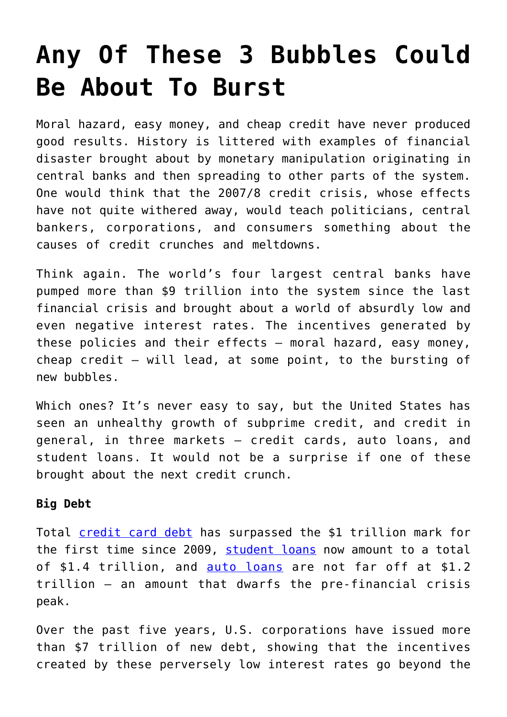## **[Any Of These 3 Bubbles Could](https://intellectualtakeout.org/2017/05/any-of-these-3-bubbles-could-be-about-to-burst/) [Be About To Burst](https://intellectualtakeout.org/2017/05/any-of-these-3-bubbles-could-be-about-to-burst/)**

Moral hazard, easy money, and cheap credit have never produced good results. History is littered with examples of financial disaster brought about by monetary manipulation originating in central banks and then spreading to other parts of the system. One would think that the 2007/8 credit crisis, whose effects have not quite withered away, would teach politicians, central bankers, corporations, and consumers something about the causes of credit crunches and meltdowns.

Think again. The world's four largest central banks have pumped more than \$9 trillion into the system since the last financial crisis and brought about a world of absurdly low and even negative interest rates. The incentives generated by these policies and their effects – moral hazard, easy money, cheap credit – will lead, at some point, to the bursting of new bubbles.

Which ones? It's never easy to say, but the United States has seen an unhealthy growth of subprime credit, and credit in general, in three markets – credit cards, auto loans, and student loans. It would not be a surprise if one of these brought about the next credit crunch.

## **Big Debt**

Total [credit card debt](http://fortune.com/2017/04/10/credit-card-debt-trillion-dllars/) has surpassed the \$1 trillion mark for the first time since 2009, [student loans](http://www.cutimes.com/2017/03/16/more-than-11-million-federal-student-loans-default) now amount to a total of \$1.4 trillion, and [auto loans](http://qz.com/913093/car-loans-in-the-us-have-hit-record-levels-and-delinquencies-are-rising-fast-too/) are not far off at \$1.2 trillion – an amount that dwarfs the pre-financial crisis peak.

Over the past five years, U.S. corporations have issued more than \$7 trillion of new debt, showing that the incentives created by these perversely low interest rates go beyond the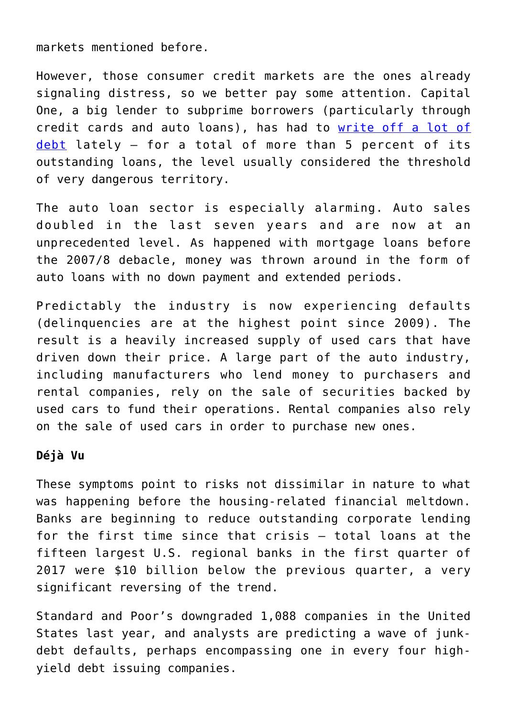markets mentioned before.

However, those consumer credit markets are the ones already signaling distress, so we better pay some attention. Capital One, a big lender to subprime borrowers (particularly through credit cards and auto loans), has had to [write off a lot of](https://www.bloomberg.com/news/articles/2017-04-26/surprise-surge-in-soured-card-loans-sinks-capital-one-discover) [debt](https://www.bloomberg.com/news/articles/2017-04-26/surprise-surge-in-soured-card-loans-sinks-capital-one-discover) lately – for a total of more than 5 percent of its outstanding loans, the level usually considered the threshold of very dangerous territory.

The auto loan sector is especially alarming. Auto sales doubled in the last seven years and are now at an unprecedented level. As happened with mortgage loans before the 2007/8 debacle, money was thrown around in the form of auto loans with no down payment and extended periods.

Predictably the industry is now experiencing defaults (delinquencies are at the highest point since 2009). The result is a heavily increased supply of used cars that have driven down their price. A large part of the auto industry, including manufacturers who lend money to purchasers and rental companies, rely on the sale of securities backed by used cars to fund their operations. Rental companies also rely on the sale of used cars in order to purchase new ones.

## **Déjà Vu**

These symptoms point to risks not dissimilar in nature to what was happening before the housing-related financial meltdown. Banks are beginning to reduce outstanding corporate lending for the first time since that crisis – total loans at the fifteen largest U.S. regional banks in the first quarter of 2017 were \$10 billion below the previous quarter, a very significant reversing of the trend.

Standard and Poor's downgraded 1,088 companies in the United States last year, and analysts are predicting a wave of junkdebt defaults, perhaps encompassing one in every four highyield debt issuing companies.